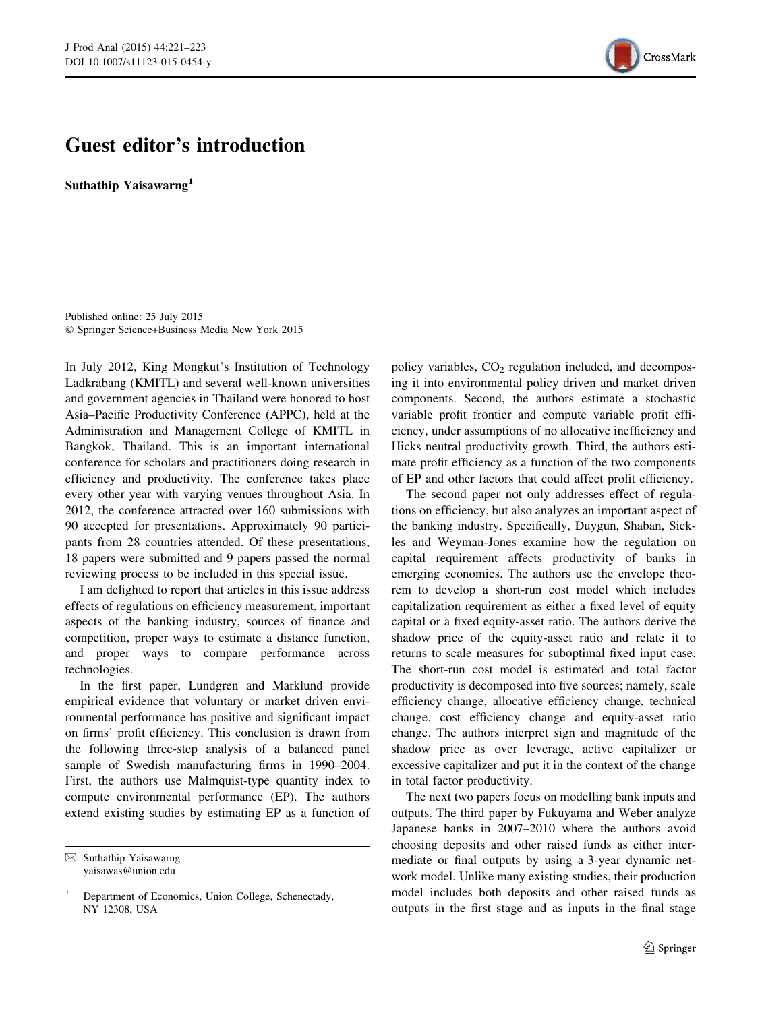

## Guest editor's introduction

Suthathip Yaisawarng<sup>1</sup>

Published online: 25 July 2015 - Springer Science+Business Media New York 2015

In July 2012, King Mongkut's Institution of Technology Ladkrabang (KMITL) and several well-known universities and government agencies in Thailand were honored to host Asia–Pacific Productivity Conference (APPC), held at the Administration and Management College of KMITL in Bangkok, Thailand. This is an important international conference for scholars and practitioners doing research in efficiency and productivity. The conference takes place every other year with varying venues throughout Asia. In 2012, the conference attracted over 160 submissions with 90 accepted for presentations. Approximately 90 participants from 28 countries attended. Of these presentations, 18 papers were submitted and 9 papers passed the normal reviewing process to be included in this special issue.

I am delighted to report that articles in this issue address effects of regulations on efficiency measurement, important aspects of the banking industry, sources of finance and competition, proper ways to estimate a distance function, and proper ways to compare performance across technologies.

In the first paper, Lundgren and Marklund provide empirical evidence that voluntary or market driven environmental performance has positive and significant impact on firms' profit efficiency. This conclusion is drawn from the following three-step analysis of a balanced panel sample of Swedish manufacturing firms in 1990–2004. First, the authors use Malmquist-type quantity index to compute environmental performance (EP). The authors extend existing studies by estimating EP as a function of

 $\boxtimes$  Suthathip Yaisawarng yaisawas@union.edu

policy variables,  $CO<sub>2</sub>$  regulation included, and decomposing it into environmental policy driven and market driven components. Second, the authors estimate a stochastic variable profit frontier and compute variable profit efficiency, under assumptions of no allocative inefficiency and Hicks neutral productivity growth. Third, the authors estimate profit efficiency as a function of the two components of EP and other factors that could affect profit efficiency.

The second paper not only addresses effect of regulations on efficiency, but also analyzes an important aspect of the banking industry. Specifically, Duygun, Shaban, Sickles and Weyman-Jones examine how the regulation on capital requirement affects productivity of banks in emerging economies. The authors use the envelope theorem to develop a short-run cost model which includes capitalization requirement as either a fixed level of equity capital or a fixed equity-asset ratio. The authors derive the shadow price of the equity-asset ratio and relate it to returns to scale measures for suboptimal fixed input case. The short-run cost model is estimated and total factor productivity is decomposed into five sources; namely, scale efficiency change, allocative efficiency change, technical change, cost efficiency change and equity-asset ratio change. The authors interpret sign and magnitude of the shadow price as over leverage, active capitalizer or excessive capitalizer and put it in the context of the change in total factor productivity.

The next two papers focus on modelling bank inputs and outputs. The third paper by Fukuyama and Weber analyze Japanese banks in 2007–2010 where the authors avoid choosing deposits and other raised funds as either intermediate or final outputs by using a 3-year dynamic network model. Unlike many existing studies, their production model includes both deposits and other raised funds as outputs in the first stage and as inputs in the final stage

Department of Economics, Union College, Schenectady, NY 12308, USA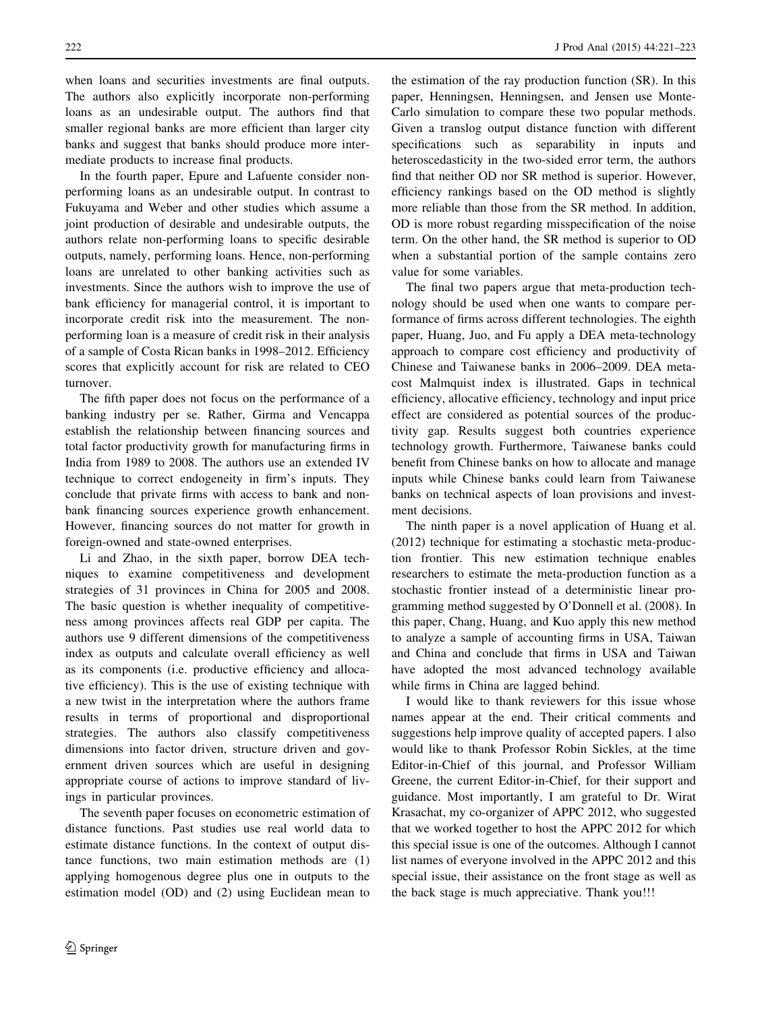when loans and securities investments are final outputs. The authors also explicitly incorporate non-performing loans as an undesirable output. The authors find that smaller regional banks are more efficient than larger city banks and suggest that banks should produce more intermediate products to increase final products.

In the fourth paper, Epure and Lafuente consider nonperforming loans as an undesirable output. In contrast to Fukuyama and Weber and other studies which assume a joint production of desirable and undesirable outputs, the authors relate non-performing loans to specific desirable outputs, namely, performing loans. Hence, non-performing loans are unrelated to other banking activities such as investments. Since the authors wish to improve the use of bank efficiency for managerial control, it is important to incorporate credit risk into the measurement. The nonperforming loan is a measure of credit risk in their analysis of a sample of Costa Rican banks in 1998–2012. Efficiency scores that explicitly account for risk are related to CEO turnover.

The fifth paper does not focus on the performance of a banking industry per se. Rather, Girma and Vencappa establish the relationship between financing sources and total factor productivity growth for manufacturing firms in India from 1989 to 2008. The authors use an extended IV technique to correct endogeneity in firm's inputs. They conclude that private firms with access to bank and nonbank financing sources experience growth enhancement. However, financing sources do not matter for growth in foreign-owned and state-owned enterprises.

Li and Zhao, in the sixth paper, borrow DEA techniques to examine competitiveness and development strategies of 31 provinces in China for 2005 and 2008. The basic question is whether inequality of competitiveness among provinces affects real GDP per capita. The authors use 9 different dimensions of the competitiveness index as outputs and calculate overall efficiency as well as its components (i.e. productive efficiency and allocative efficiency). This is the use of existing technique with a new twist in the interpretation where the authors frame results in terms of proportional and disproportional strategies. The authors also classify competitiveness dimensions into factor driven, structure driven and government driven sources which are useful in designing appropriate course of actions to improve standard of livings in particular provinces.

The seventh paper focuses on econometric estimation of distance functions. Past studies use real world data to estimate distance functions. In the context of output distance functions, two main estimation methods are (1) applying homogenous degree plus one in outputs to the estimation model (OD) and (2) using Euclidean mean to

the estimation of the ray production function (SR). In this paper, Henningsen, Henningsen, and Jensen use Monte-Carlo simulation to compare these two popular methods. Given a translog output distance function with different specifications such as separability in inputs and heteroscedasticity in the two-sided error term, the authors find that neither OD nor SR method is superior. However, efficiency rankings based on the OD method is slightly more reliable than those from the SR method. In addition, OD is more robust regarding misspecification of the noise term. On the other hand, the SR method is superior to OD when a substantial portion of the sample contains zero value for some variables.

The final two papers argue that meta-production technology should be used when one wants to compare performance of firms across different technologies. The eighth paper, Huang, Juo, and Fu apply a DEA meta-technology approach to compare cost efficiency and productivity of Chinese and Taiwanese banks in 2006–2009. DEA metacost Malmquist index is illustrated. Gaps in technical efficiency, allocative efficiency, technology and input price effect are considered as potential sources of the productivity gap. Results suggest both countries experience technology growth. Furthermore, Taiwanese banks could benefit from Chinese banks on how to allocate and manage inputs while Chinese banks could learn from Taiwanese banks on technical aspects of loan provisions and investment decisions.

The ninth paper is a novel application of Huang et al. (2012) technique for estimating a stochastic meta-production frontier. This new estimation technique enables researchers to estimate the meta-production function as a stochastic frontier instead of a deterministic linear programming method suggested by O'Donnell et al. (2008). In this paper, Chang, Huang, and Kuo apply this new method to analyze a sample of accounting firms in USA, Taiwan and China and conclude that firms in USA and Taiwan have adopted the most advanced technology available while firms in China are lagged behind.

I would like to thank reviewers for this issue whose names appear at the end. Their critical comments and suggestions help improve quality of accepted papers. I also would like to thank Professor Robin Sickles, at the time Editor-in-Chief of this journal, and Professor William Greene, the current Editor-in-Chief, for their support and guidance. Most importantly, I am grateful to Dr. Wirat Krasachat, my co-organizer of APPC 2012, who suggested that we worked together to host the APPC 2012 for which this special issue is one of the outcomes. Although I cannot list names of everyone involved in the APPC 2012 and this special issue, their assistance on the front stage as well as the back stage is much appreciative. Thank you!!!